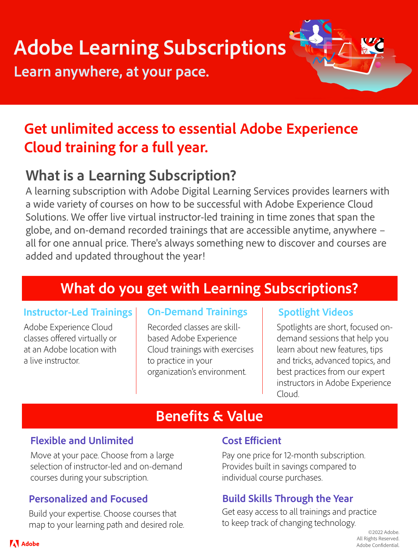# **Adobe Learning Subscriptions**

**Learn anywhere, at your pace.**

## **Get unlimited access to essential Adobe Experience Cloud training for a full year.**

## **What is a Learning Subscription?**

A learning subscription with Adobe Digital Learning Services provides learners with a wide variety of courses on how to be successful with Adobe Experience Cloud Solutions. We offer live virtual instructor-led training in time zones that span the globe, and on-demand recorded trainings that are accessible anytime, anywhere – all for one annual price. There's always something new to discover and courses are added and updated throughout the year!

## **What do you get with Learning Subscriptions?**

#### **Instructor-Led Trainings** | On-Demand Trainings | Spotlight Videos

Adobe Experience Cloud classes offered virtually or at an Adobe location with a live instructor.

Recorded classes are skillbased Adobe Experience Cloud trainings with exercises to practice in your organization's environment.

Spotlights are short, focused ondemand sessions that help you learn about new features, tips and tricks, advanced topics, and best practices from our expert instructors in Adobe Experience Cloud.

## **Benefits & Value**

### **Flexible and Unlimited**

Move at your pace. Choose from a large selection of instructor-led and on-demand courses during your subscription.

Build your expertise. Choose courses that map to your learning path and desired role.

#### **Cost Efficient**

Pay one price for 12-month subscription. Provides built in savings compared to individual course purchases.

#### **Personalized and Focused Build Skills Through the Year**

Get easy access to all trainings and practice to keep track of changing technology.